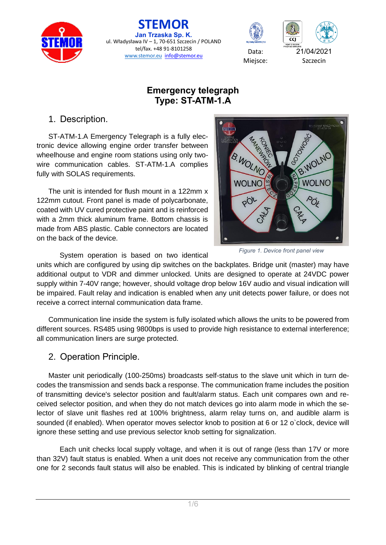

**STEMOR Jan Trzaska Sp. K.** ul. Władysława IV - 1, 70-651 Szczecin / POLAND tel/fax. +48 91-8101258 tel/fax. +48 91-8101258 <br>[www.stemor.eu](http://www.stemor.eu/) [info@stemor.eu](mailto:info@stemor.eu) Data: 21/04/2021<br>Miejsce: Szczecin



Miejsce:



## **Emergency telegraph Type: ST-ATM-1.A**

1. Description.

ST-ATM-1.A Emergency Telegraph is a fully electronic device allowing engine order transfer between wheelhouse and engine room stations using only twowire communication cables. ST-ATM-1.A complies fully with SOLAS requirements.

The unit is intended for flush mount in a 122mm x 122mm cutout. Front panel is made of polycarbonate, coated with UV cured protective paint and is reinforced with a 2mm thick aluminum frame. Bottom chassis is made from ABS plastic. Cable connectors are located on the back of the device.



*Figure 1. Device front panel view*

System operation is based on two identical

units which are configured by using dip switches on the backplates. Bridge unit (master) may have additional output to VDR and dimmer unlocked. Units are designed to operate at 24VDC power supply within 7-40V range; however, should voltage drop below 16V audio and visual indication will be impaired. Fault relay and indication is enabled when any unit detects power failure, or does not receive a correct internal communication data frame.

Communication line inside the system is fully isolated which allows the units to be powered from different sources. RS485 using 9800bps is used to provide high resistance to external interference; all communication liners are surge protected.

## 2. Operation Principle.

Master unit periodically (100-250ms) broadcasts self-status to the slave unit which in turn decodes the transmission and sends back a response. The communication frame includes the position of transmitting device's selector position and fault/alarm status. Each unit compares own and received selector position, and when they do not match devices go into alarm mode in which the selector of slave unit flashes red at 100% brightness, alarm relay turns on, and audible alarm is sounded (if enabled). When operator moves selector knob to position at 6 or 12 o`clock, device will ignore these setting and use previous selector knob setting for signalization.

Each unit checks local supply voltage, and when it is out of range (less than 17V or more than 32V) fault status is enabled. When a unit does not receive any communication from the other one for 2 seconds fault status will also be enabled. This is indicated by blinking of central triangle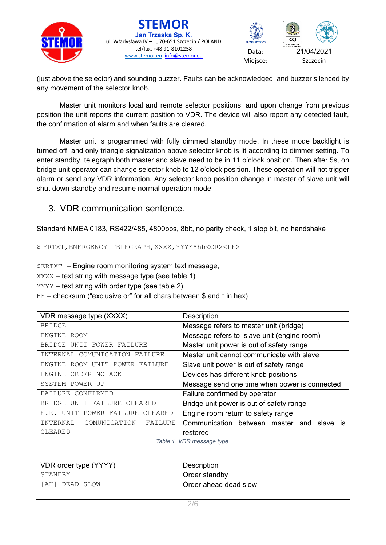



(just above the selector) and sounding buzzer. Faults can be acknowledged, and buzzer silenced by any movement of the selector knob.

Master unit monitors local and remote selector positions, and upon change from previous position the unit reports the current position to VDR. The device will also report any detected fault, the confirmation of alarm and when faults are cleared.

Master unit is programmed with fully dimmed standby mode. In these mode backlight is turned off, and only triangle signalization above selector knob is lit according to dimmer setting. To enter standby, telegraph both master and slave need to be in 11 o'clock position. Then after 5s, on bridge unit operator can change selector knob to 12 o'clock position. These operation will not trigger alarm or send any VDR information. Any selector knob position change in master of slave unit will shut down standby and resume normal operation mode.

### 3. VDR communication sentence.

Standard NMEA 0183, RS422/485, 4800bps, 8bit, no parity check, 1 stop bit, no handshake

\$ ERTXT,EMERGENCY TELEGRAPH,XXXX,YYYY\*hh<CR><LF>

\$ERTXT – Engine room monitoring system text message,

XXXX – text string with message type (see table 1)

YYYY – text string with order type (see table 2)

hh – checksum ("exclusive or" for all chars between \$ and \* in hex)

| VDR message type (XXXX)             | Description                                     |  |  |
|-------------------------------------|-------------------------------------------------|--|--|
| <b>BRIDGE</b>                       | Message refers to master unit (bridge)          |  |  |
| ENGINE ROOM                         | Message refers to slave unit (engine room)      |  |  |
| UNIT POWER FAILURE<br><b>BRIDGE</b> | Master unit power is out of safety range        |  |  |
| INTERNAL COMUNICATION FAILURE       | Master unit cannot communicate with slave       |  |  |
| ENGINE ROOM UNIT POWER FAILURE      | Slave unit power is out of safety range         |  |  |
| ORDER NO ACK<br>ENGINE              | Devices has different knob positions            |  |  |
| SYSTEM POWER UP                     | Message send one time when power is connected   |  |  |
| FAILURE CONFIRMED                   | Failure confirmed by operator                   |  |  |
| BRIDGE UNIT FAILURE CLEARED         | Bridge unit power is out of safety range        |  |  |
| E.R. UNIT POWER FAILURE CLEARED     | Engine room return to safety range              |  |  |
| INTERNAL COMUNICATION<br>FAILURE    | Communication between master<br>slave is<br>and |  |  |
| CLEARED                             | restored                                        |  |  |

*Table 1. VDR message type.*

| VDR order type (YYYY) | <b>Description</b>    |
|-----------------------|-----------------------|
| STANDBY               | Order standby         |
| 'AH 1<br>DEAD SLOW    | Order ahead dead slow |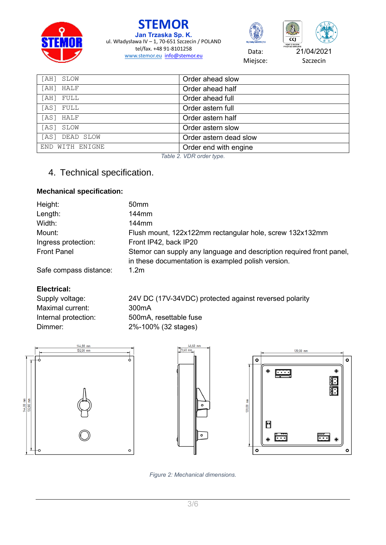





Miejsce:

| [AH] SLOW       | Order ahead slow       |
|-----------------|------------------------|
| [AH] HALF       | Order ahead half       |
| [AH] FULL       | Order ahead full       |
| [AS] FULL       | Order astern full      |
| [AS] HALF       | Order astern half      |
| [AS] SLOW       | Order astern slow      |
| [AS] DEAD SLOW  | Order astern dead slow |
| END WITH ENIGNE | Order end with engine  |

*Table 2. VDR order type.*

# 4. Technical specification.

### **Mechanical specification:**

| Height:                | 50 <sub>mm</sub>                                                                                                           |
|------------------------|----------------------------------------------------------------------------------------------------------------------------|
| Length:                | 144 <sub>mm</sub>                                                                                                          |
| Width:                 | $144$ mm                                                                                                                   |
| Mount:                 | Flush mount, 122x122mm rectangular hole, screw 132x132mm                                                                   |
| Ingress protection:    | Front IP42, back IP20                                                                                                      |
| <b>Front Panel</b>     | Stemor can supply any language and description required front panel,<br>in these documentation is exampled polish version. |
| Safe compass distance: | 1.2 <sub>m</sub>                                                                                                           |

### **Electrical:**

| Supply voltage:      | 24V DC (17V-34VDC) protected against reversed polarity |
|----------------------|--------------------------------------------------------|
| Maximal current:     | 300 <sub>m</sub> A                                     |
| Internal protection: | 500mA, resettable fuse                                 |
| Dimmer:              | 2%-100% (32 stages)                                    |







*Figure 2: Mechanical dimensions.*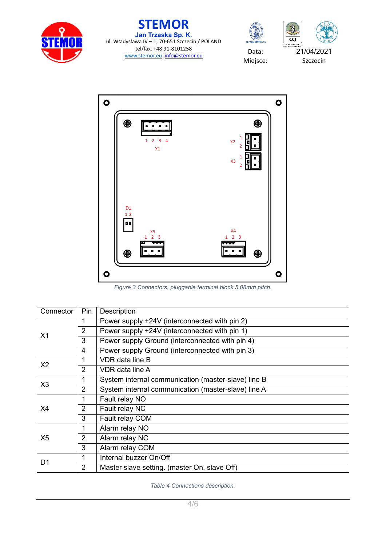





Miejsce:





*Figure 3 Connectors, pluggable terminal block 5.08mm pitch.*

| Connector      | Pin            | Description                                         |  |  |
|----------------|----------------|-----------------------------------------------------|--|--|
| X <sub>1</sub> | 1              | Power supply +24V (interconnected with pin 2)       |  |  |
|                | $\overline{2}$ | Power supply +24V (interconnected with pin 1)       |  |  |
|                | 3              | Power supply Ground (interconnected with pin 4)     |  |  |
|                | 4              | Power supply Ground (interconnected with pin 3)     |  |  |
| X <sub>2</sub> |                | <b>VDR</b> data line B                              |  |  |
|                | 2              | VDR data line A                                     |  |  |
| X3             | 1              | System internal communication (master-slave) line B |  |  |
|                | $\overline{2}$ | System internal communication (master-slave) line A |  |  |
| X4             | 1              | Fault relay NO                                      |  |  |
|                | $\overline{2}$ | Fault relay NC                                      |  |  |
|                | 3              | Fault relay COM                                     |  |  |
| X <sub>5</sub> | 1              | Alarm relay NO                                      |  |  |
|                | $\overline{2}$ | Alarm relay NC                                      |  |  |
|                | 3              | Alarm relay COM                                     |  |  |
|                |                | Internal buzzer On/Off                              |  |  |
| D1             | $\overline{2}$ | Master slave setting. (master On, slave Off)        |  |  |

*Table 4 Connections description.*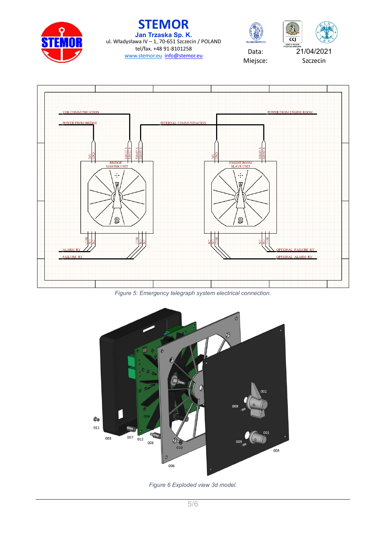







Miejsce:



*Figure 5: Emergency telegraph system electrical connection.*



*Figure 6 Exploded view 3d model.*